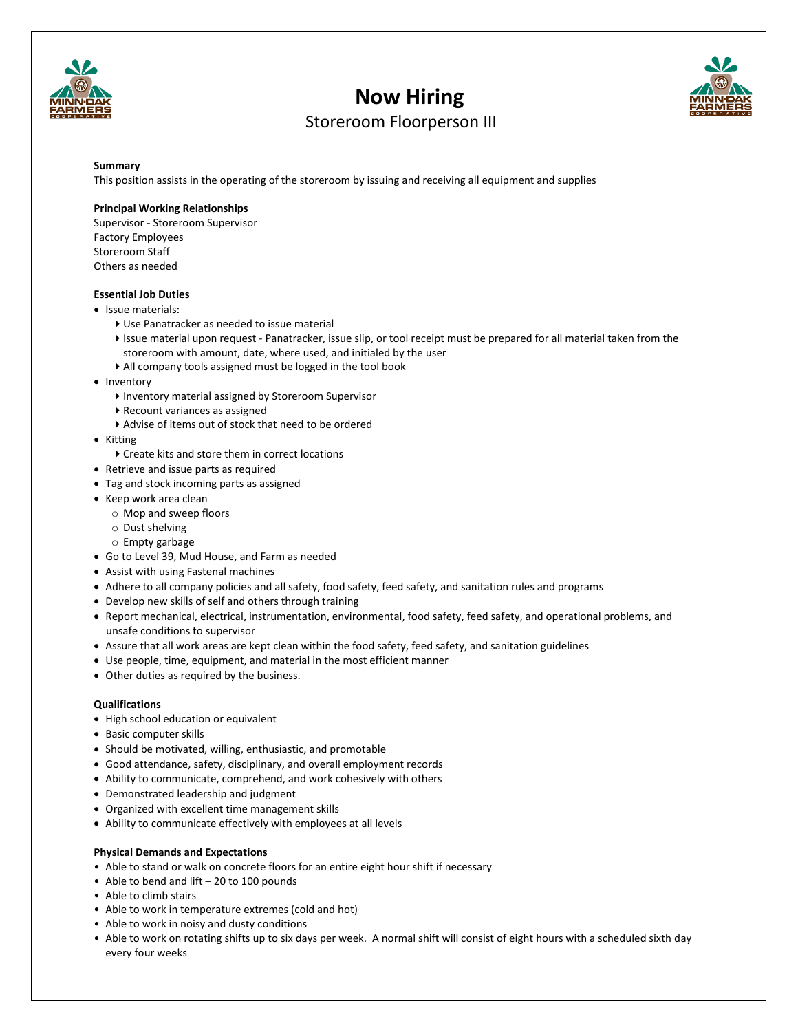

# **Now Hiring**



# Storeroom Floorperson III

#### **Summary**

This position assists in the operating of the storeroom by issuing and receiving all equipment and supplies

### **Principal Working Relationships**

Supervisor - Storeroom Supervisor Factory Employees Storeroom Staff Others as needed

## **Essential Job Duties**

- Issue materials:
	- Use Panatracker as needed to issue material
	- Issue material upon request Panatracker, issue slip, or tool receipt must be prepared for all material taken from the storeroom with amount, date, where used, and initialed by the user
	- All company tools assigned must be logged in the tool book
- Inventory
	- Inventory material assigned by Storeroom Supervisor
	- Recount variances as assigned
	- Advise of items out of stock that need to be ordered
- Kitting
	- Create kits and store them in correct locations
- Retrieve and issue parts as required
- Tag and stock incoming parts as assigned
- Keep work area clean
	- o Mop and sweep floors
	- o Dust shelving
	- o Empty garbage
- Go to Level 39, Mud House, and Farm as needed
- Assist with using Fastenal machines
- Adhere to all company policies and all safety, food safety, feed safety, and sanitation rules and programs
- Develop new skills of self and others through training
- Report mechanical, electrical, instrumentation, environmental, food safety, feed safety, and operational problems, and unsafe conditions to supervisor
- Assure that all work areas are kept clean within the food safety, feed safety, and sanitation guidelines
- Use people, time, equipment, and material in the most efficient manner
- Other duties as required by the business.

#### **Qualifications**

- High school education or equivalent
- Basic computer skills
- Should be motivated, willing, enthusiastic, and promotable
- Good attendance, safety, disciplinary, and overall employment records
- Ability to communicate, comprehend, and work cohesively with others
- Demonstrated leadership and judgment
- Organized with excellent time management skills
- Ability to communicate effectively with employees at all levels

#### **Physical Demands and Expectations**

- Able to stand or walk on concrete floors for an entire eight hour shift if necessary
- Able to bend and lift 20 to 100 pounds
- Able to climb stairs
- Able to work in temperature extremes (cold and hot)
- Able to work in noisy and dusty conditions
- Able to work on rotating shifts up to six days per week. A normal shift will consist of eight hours with a scheduled sixth day every four weeks